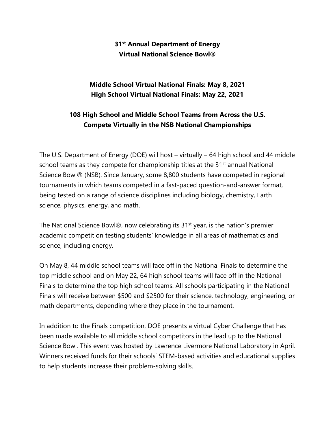**31st Annual Department of Energy Virtual National Science Bowl®**

# **Middle School Virtual National Finals: May 8, 2021 High School Virtual National Finals: May 22, 2021**

# **108 High School and Middle School Teams from Across the U.S. Compete Virtually in the NSB National Championships**

The U.S. Department of Energy (DOE) will host – virtually – 64 high school and 44 middle school teams as they compete for championship titles at the 31<sup>st</sup> annual National Science Bowl® (NSB). Since January, some 8,800 students have competed in regional tournaments in which teams competed in a fast-paced question-and-answer format, being tested on a range of science disciplines including biology, chemistry, Earth science, physics, energy, and math.

The National Science Bowl®, now celebrating its 31<sup>st</sup> year, is the nation's premier academic competition testing students' knowledge in all areas of mathematics and science, including energy.

On May 8, 44 middle school teams will face off in the National Finals to determine the top middle school and on May 22, 64 high school teams will face off in the National Finals to determine the top high school teams. All schools participating in the National Finals will receive between \$500 and \$2500 for their science, technology, engineering, or math departments, depending where they place in the tournament.

In addition to the Finals competition, DOE presents a virtual Cyber Challenge that has been made available to all middle school competitors in the lead up to the National Science Bowl. This event was hosted by Lawrence Livermore National Laboratory in April. Winners received funds for their schools' STEM-based activities and educational supplies to help students increase their problem-solving skills.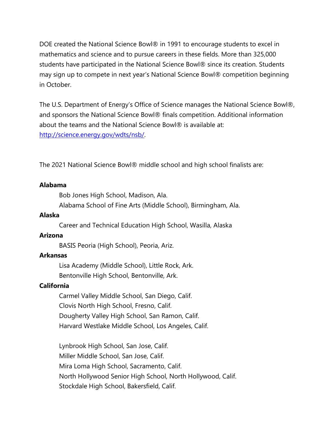DOE created the National Science Bowl® in 1991 to encourage students to excel in mathematics and science and to pursue careers in these fields. More than 325,000 students have participated in the National Science Bowl® since its creation. Students may sign up to compete in next year's National Science Bowl® competition beginning in October.

The U.S. Department of Energy's Office of Science manages the National Science Bowl®, and sponsors the National Science Bowl® finals competition. Additional information about the teams and the National Science Bowl® is available at: [http://science.energy.gov/wdts/nsb/.](http://science.energy.gov/wdts/nsb/)

The 2021 National Science Bowl® middle school and high school finalists are:

### **Alabama**

Bob Jones High School, Madison, Ala.

Alabama School of Fine Arts (Middle School), Birmingham, Ala.

## **Alaska**

Career and Technical Education High School, Wasilla, Alaska

## **Arizona**

BASIS Peoria (High School), Peoria, Ariz.

#### **Arkansas**

Lisa Academy (Middle School), Little Rock, Ark. Bentonville High School, Bentonville, Ark.

## **California**

Carmel Valley Middle School, San Diego, Calif. Clovis North High School, Fresno, Calif. Dougherty Valley High School, San Ramon, Calif. Harvard Westlake Middle School, Los Angeles, Calif.

Lynbrook High School, San Jose, Calif. Miller Middle School, San Jose, Calif. Mira Loma High School, Sacramento, Calif. North Hollywood Senior High School, North Hollywood, Calif. Stockdale High School, Bakersfield, Calif.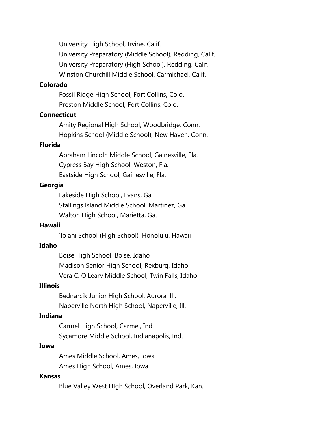University High School, Irvine, Calif. University Preparatory (Middle School), Redding, Calif. University Preparatory (High School), Redding, Calif. Winston Churchill Middle School, Carmichael, Calif.

## **Colorado**

Fossil Ridge High School, Fort Collins, Colo. Preston Middle School, Fort Collins. Colo.

## **Connecticut**

Amity Regional High School, Woodbridge, Conn. Hopkins School (Middle School), New Haven, Conn.

## **Florida**

Abraham Lincoln Middle School, Gainesville, Fla. Cypress Bay High School, Weston, Fla. Eastside High School, Gainesville, Fla.

### **Georgia**

Lakeside High School, Evans, Ga. Stallings Island Middle School, Martinez, Ga. Walton High School, Marietta, Ga.

## **Hawaii**

'Iolani School (High School), Honolulu, Hawaii

### **Idaho**

Boise High School, Boise, Idaho Madison Senior High School, Rexburg, Idaho Vera C. O'Leary Middle School, Twin Falls, Idaho

### **Illinois**

Bednarcik Junior High School, Aurora, Ill. Naperville North High School, Naperville, Ill.

### **Indiana**

Carmel High School, Carmel, Ind. Sycamore Middle School, Indianapolis, Ind.

#### **Iowa**

Ames Middle School, Ames, Iowa Ames High School, Ames, Iowa

#### **Kansas**

Blue Valley West HIgh School, Overland Park, Kan.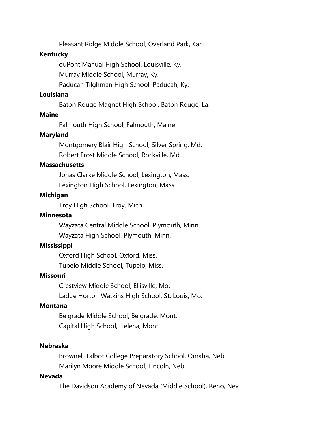Pleasant Ridge Middle School, Overland Park, Kan.

### **Kentucky**

duPont Manual High School, Louisville, Ky.

Murray Middle School, Murray, Ky.

Paducah Tilghman High School, Paducah, Ky.

## **Louisiana**

Baton Rouge Magnet High School, Baton Rouge, La.

### **Maine**

Falmouth High School, Falmouth, Maine

#### **Maryland**

Montgomery Blair High School, Silver Spring, Md. Robert Frost Middle School, Rockville, Md.

#### **Massachusetts**

Jonas Clarke Middle School, Lexington, Mass.

Lexington High School, Lexington, Mass.

#### **Michigan**

Troy High School, Troy, Mich.

#### **Minnesota**

Wayzata Central Middle School, Plymouth, Minn. Wayzata High School, Plymouth, Minn.

## **Mississippi**

Oxford High School, Oxford, Miss.

Tupelo Middle School, Tupelo, Miss.

### **Missouri**

Crestview Middle School, Ellisville, Mo. Ladue Horton Watkins High School, St. Louis, Mo.

### **Montana**

Belgrade Middle School, Belgrade, Mont. Capital High School, Helena, Mont.

#### **Nebraska**

Brownell Talbot College Preparatory School, Omaha, Neb. Marilyn Moore Middle School, Lincoln, Neb.

### **Nevada**

The Davidson Academy of Nevada (Middle School), Reno, Nev.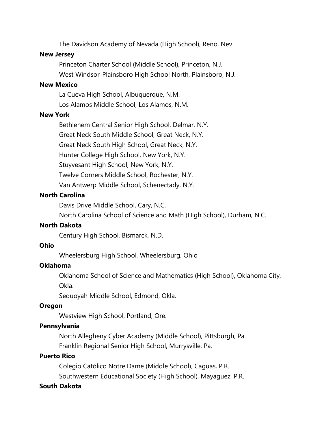The Davidson Academy of Nevada (High School), Reno, Nev.

## **New Jersey**

Princeton Charter School (Middle School), Princeton, N.J. West Windsor-Plainsboro High School North, Plainsboro, N.J.

## **New Mexico**

La Cueva High School, Albuquerque, N.M. Los Alamos Middle School, Los Alamos, N.M.

## **New York**

Bethlehem Central Senior High School, Delmar, N.Y. Great Neck South Middle School, Great Neck, N.Y. Great Neck South High School, Great Neck, N.Y. Hunter College High School, New York, N.Y. Stuyvesant High School, New York, N.Y. Twelve Corners Middle School, Rochester, N.Y. Van Antwerp Middle School, Schenectady, N.Y.

## **North Carolina**

Davis Drive Middle School, Cary, N.C.

North Carolina School of Science and Math (High School), Durham, N.C.

## **North Dakota**

Century High School, Bismarck, N.D.

## **Ohio**

Wheelersburg High School, Wheelersburg, Ohio

## **Oklahoma**

Oklahoma School of Science and Mathematics (High School), Oklahoma City, Okla.

Sequoyah Middle School, Edmond, Okla.

## **Oregon**

Westview High School, Portland, Ore.

## **Pennsylvania**

North Allegheny Cyber Academy (Middle School), Pittsburgh, Pa.

Franklin Regional Senior High School, Murrysville, Pa.

## **Puerto Rico**

Colegio Católico Notre Dame (Middle School), Caguas, P.R. Southwestern Educational Society (High School), Mayaguez, P.R.

## **South Dakota**